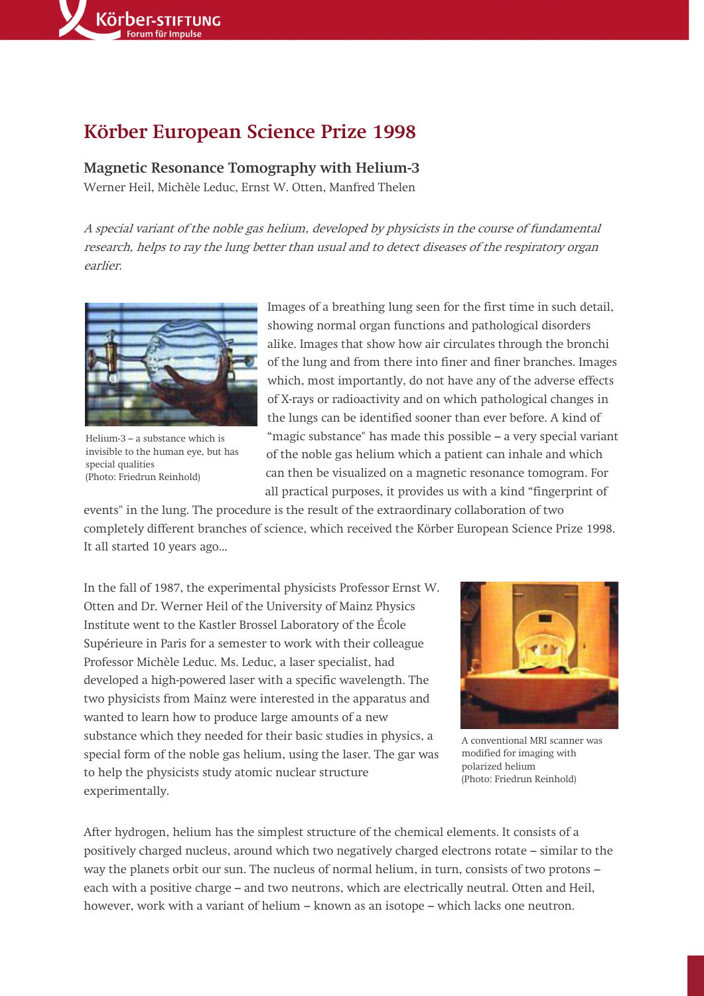

## Körber European Science Prize 1998

Magnetic Resonance Tomography with Helium-3 Werner Heil, Michèle Leduc, Ernst W. Otten, Manfred Thelen

A special variant of the noble gas helium, developed by physicists in the course of fundamental research, helps to ray the lung better than usual and to detect diseases of the respiratory organ earlier.



Helium-3 – a substance which is invisible to the human eye, but has special qualities (Photo: Friedrun Reinhold)

Images of a breathing lung seen for the first time in such detail, showing normal organ functions and pathological disorders alike. Images that show how air circulates through the bronchi of the lung and from there into finer and finer branches. Images which, most importantly, do not have any of the adverse effects of X-rays or radioactivity and on which pathological changes in the lungs can be identified sooner than ever before. A kind of "magic substance" has made this possible – a very special variant of the noble gas helium which a patient can inhale and which can then be visualized on a magnetic resonance tomogram. For all practical purposes, it provides us with a kind "fingerprint of

events" in the lung. The procedure is the result of the extraordinary collaboration of two completely different branches of science, which received the Körber European Science Prize 1998. It all started 10 years ago...

In the fall of 1987, the experimental physicists Professor Ernst W. Otten and Dr. Werner Heil of the University of Mainz Physics Institute went to the Kastler Brossel Laboratory of the École Supérieure in Paris for a semester to work with their colleague Professor Michèle Leduc. Ms. Leduc, a laser specialist, had developed a high-powered laser with a specific wavelength. The two physicists from Mainz were interested in the apparatus and wanted to learn how to produce large amounts of a new substance which they needed for their basic studies in physics, a special form of the noble gas helium, using the laser. The gar was to help the physicists study atomic nuclear structure experimentally.



A conventional MRI scanner was modified for imaging with polarized helium (Photo: Friedrun Reinhold)

After hydrogen, helium has the simplest structure of the chemical elements. It consists of a positively charged nucleus, around which two negatively charged electrons rotate – similar to the way the planets orbit our sun. The nucleus of normal helium, in turn, consists of two protons – each with a positive charge – and two neutrons, which are electrically neutral. Otten and Heil, however, work with a variant of helium – known as an isotope – which lacks one neutron.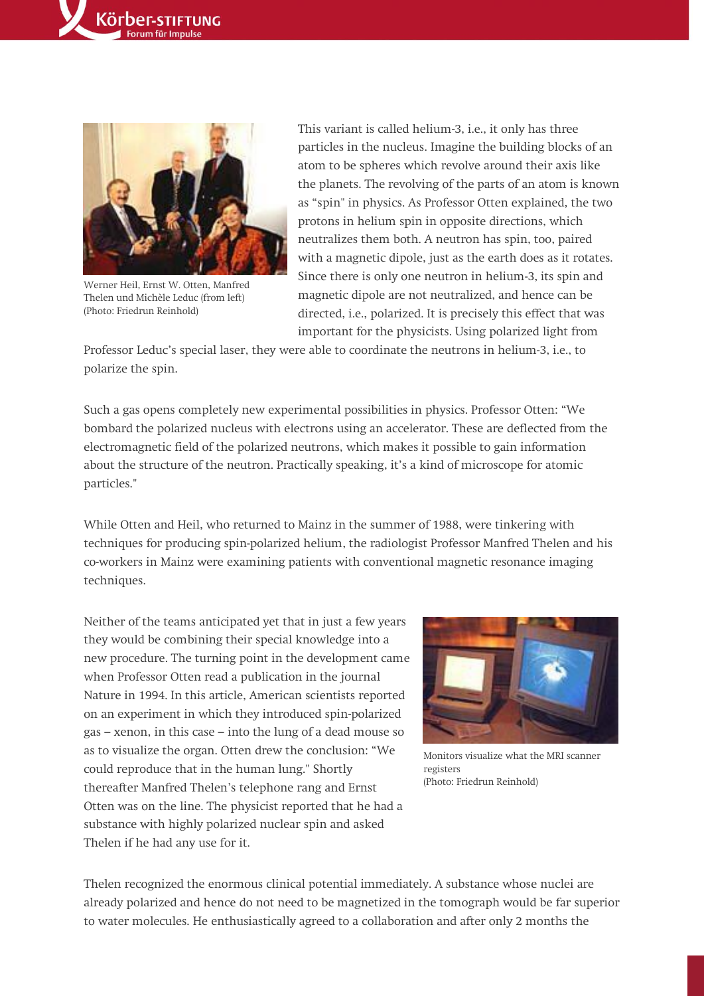

Werner Heil, Ernst W. Otten, Manfred Thelen und Michèle Leduc (from left) (Photo: Friedrun Reinhold)

This variant is called helium-3, i.e., it only has three particles in the nucleus. Imagine the building blocks of an atom to be spheres which revolve around their axis like the planets. The revolving of the parts of an atom is known as "spin" in physics. As Professor Otten explained, the two protons in helium spin in opposite directions, which neutralizes them both. A neutron has spin, too, paired with a magnetic dipole, just as the earth does as it rotates. Since there is only one neutron in helium-3, its spin and magnetic dipole are not neutralized, and hence can be directed, i.e., polarized. It is precisely this effect that was important for the physicists. Using polarized light from

Professor Leduc's special laser, they were able to coordinate the neutrons in helium-3, i.e., to polarize the spin.

Such a gas opens completely new experimental possibilities in physics. Professor Otten: "We bombard the polarized nucleus with electrons using an accelerator. These are deflected from the electromagnetic field of the polarized neutrons, which makes it possible to gain information about the structure of the neutron. Practically speaking, it's a kind of microscope for atomic particles."

While Otten and Heil, who returned to Mainz in the summer of 1988, were tinkering with techniques for producing spin-polarized helium, the radiologist Professor Manfred Thelen and his co-workers in Mainz were examining patients with conventional magnetic resonance imaging techniques.

Neither of the teams anticipated yet that in just a few years they would be combining their special knowledge into a new procedure. The turning point in the development came when Professor Otten read a publication in the journal Nature in 1994. In this article, American scientists reported on an experiment in which they introduced spin-polarized gas – xenon, in this case – into the lung of a dead mouse so as to visualize the organ. Otten drew the conclusion: "We could reproduce that in the human lung." Shortly thereafter Manfred Thelen's telephone rang and Ernst Otten was on the line. The physicist reported that he had a substance with highly polarized nuclear spin and asked Thelen if he had any use for it.



Monitors visualize what the MRI scanner registers (Photo: Friedrun Reinhold)

Thelen recognized the enormous clinical potential immediately. A substance whose nuclei are already polarized and hence do not need to be magnetized in the tomograph would be far superior to water molecules. He enthusiastically agreed to a collaboration and after only 2 months the